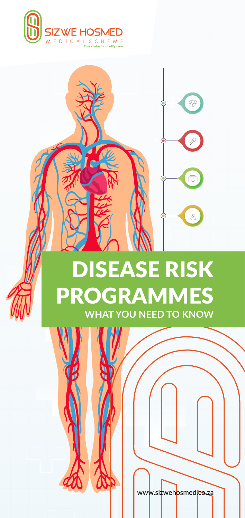



eh<mark>osmed.co.za/</mark>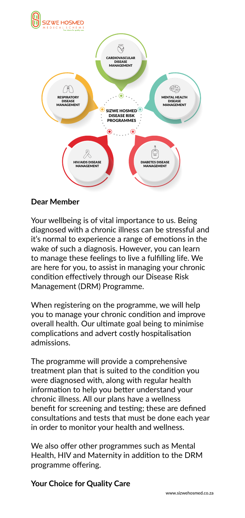

## **Dear Member**

Your wellbeing is of vital importance to us. Being diagnosed with a chronic illness can be stressful and it's normal to experience a range of emotions in the wake of such a diagnosis. However, you can learn to manage these feelings to live a fulfilling life. We are here for you, to assist in managing your chronic condition effectively through our Disease Risk Management (DRM) Programme.

When registering on the programme, we will help you to manage your chronic condition and improve overall health. Our ultimate goal being to minimise complications and advert costly hospitalisation admissions.

The programme will provide a comprehensive treatment plan that is suited to the condition you were diagnosed with, along with regular health information to help you better understand your chronic illness. All our plans have a wellness benefit for screening and testing; these are defined consultations and tests that must be done each year in order to monitor your health and wellness.

We also offer other programmes such as Mental Health, HIV and Maternity in addition to the DRM programme offering.

## **Your Choice for Quality Care**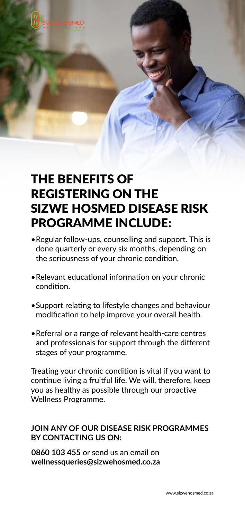

## THE BENEFITS OF REGISTERING ON THE SIZWE HOSMED DISEASE RISK PROGRAMME INCLUDE:

- •Regular follow-ups, counselling and support. This is done quarterly or every six months, depending on the seriousness of your chronic condition.
- •Relevant educational information on your chronic condition.
- •Support relating to lifestyle changes and behaviour modification to help improve your overall health.
- •Referral or a range of relevant health-care centres and professionals for support through the different stages of your programme.

Treating your chronic condition is vital if you want to continue living a fruitful life. We will, therefore, keep you as healthy as possible through our proactive Wellness Programme.

## **JOIN ANY OF OUR DISEASE RISK PROGRAMMES BY CONTACTING US ON:**

**0860 103 455** or send us an email on **wellnessqueries@sizwehosmed.co.za**